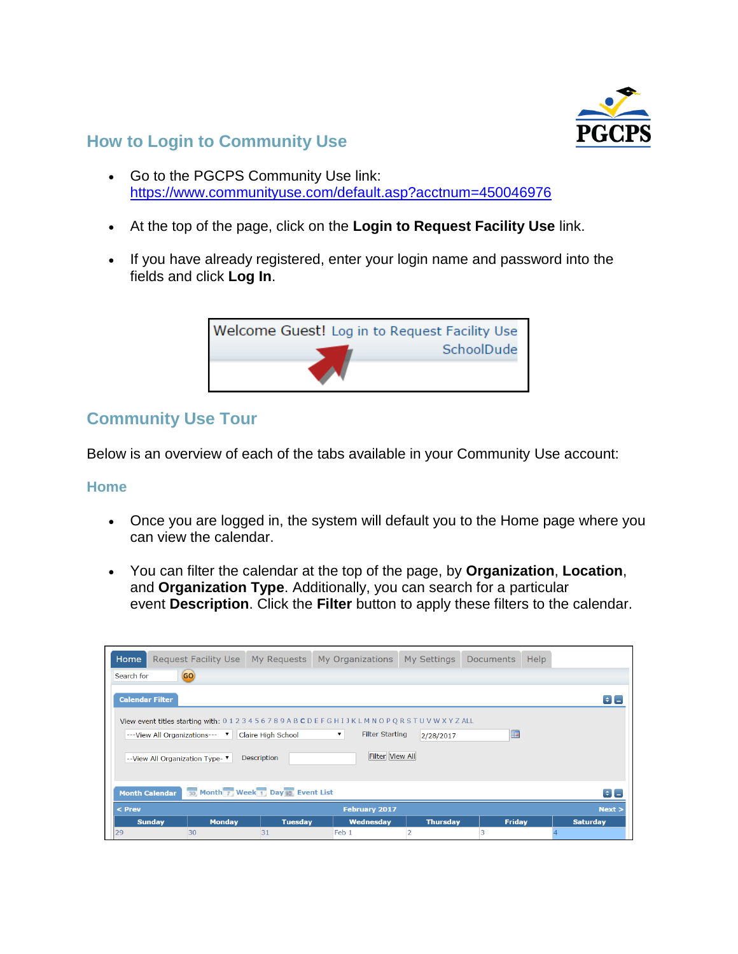

## **How to Login to Community Use**

- Go to the PGCPS Community Use link: <https://www.communityuse.com/default.asp?acctnum=450046976>
- At the top of the page, click on the **Login to Request Facility Use** link.
- If you have already registered, enter your login name and password into the fields and click **Log In**.



# **Community Use Tour**

Below is an overview of each of the tabs available in your Community Use account:

#### **Home**

- Once you are logged in, the system will default you to the Home page where you can view the calendar.
- You can filter the calendar at the top of the page, by **Organization**, **Location**, and **Organization Type**. Additionally, you can search for a particular event **Description**. Click the **Filter** button to apply these filters to the calendar.

| Home                                                                                                                                                                              | Request Facility Use My Requests |                | My Organizations | My Settings     | <b>Documents</b><br>Help |                 |  |  |  |
|-----------------------------------------------------------------------------------------------------------------------------------------------------------------------------------|----------------------------------|----------------|------------------|-----------------|--------------------------|-----------------|--|--|--|
| GO)<br>Search for                                                                                                                                                                 |                                  |                |                  |                 |                          |                 |  |  |  |
| <b>Calendar Filter</b><br>$\parallel \div \parallel$ $\parallel$                                                                                                                  |                                  |                |                  |                 |                          |                 |  |  |  |
| View event titles starting with: 0123456789ABCDEFGHIJKLMNOPQRSTUVWXYZALL<br><b>Filter Starting</b><br>▼<br>Hш<br>--- View All Organizations---<br>Claire High School<br>2/28/2017 |                                  |                |                  |                 |                          |                 |  |  |  |
| <b>Filter View All</b><br>Description<br>--View All Organization Type- ▼                                                                                                          |                                  |                |                  |                 |                          |                 |  |  |  |
| Month Week Day Event List<br><b>Month Calendar</b><br>$\left  \bullet \right $ $=$                                                                                                |                                  |                |                  |                 |                          |                 |  |  |  |
| $<$ Prev<br><b>February 2017</b><br>Next >                                                                                                                                        |                                  |                |                  |                 |                          |                 |  |  |  |
|                                                                                                                                                                                   | <b>Sunday</b><br><b>Monday</b>   | <b>Tuesday</b> | <b>Wednesday</b> | <b>Thursday</b> | <b>Friday</b>            | <b>Saturday</b> |  |  |  |
| 29                                                                                                                                                                                | 30                               | 31             | Feb <sub>1</sub> |                 |                          |                 |  |  |  |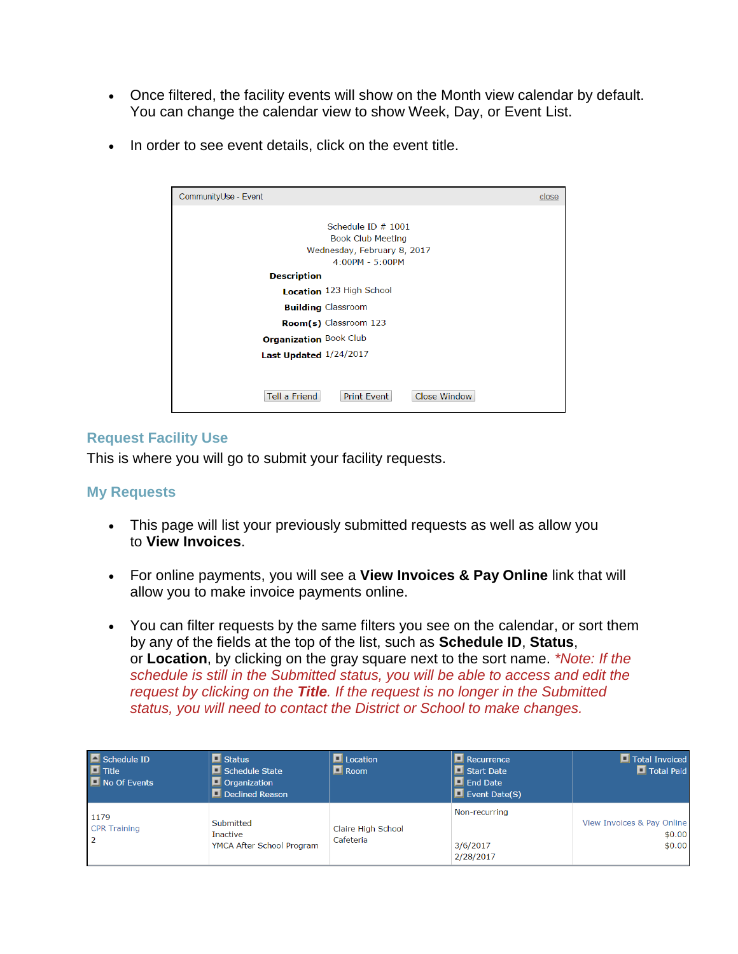- Once filtered, the facility events will show on the Month view calendar by default. You can change the calendar view to show Week, Day, or Event List.
- In order to see event details, click on the event title.

| CommunityUse - Event                                | close |
|-----------------------------------------------------|-------|
| Schedule ID $# 1001$<br><b>Book Club Meeting</b>    |       |
| Wednesday, February 8, 2017<br>$4:00PM - 5:00PM$    |       |
| <b>Description</b>                                  |       |
| Location 123 High School                            |       |
| <b>Building Classroom</b>                           |       |
| Room(s) Classroom 123                               |       |
| <b>Organization Book Club</b>                       |       |
| Last Updated 1/24/2017                              |       |
|                                                     |       |
| Tell a Friend<br><b>Close Window</b><br>Print Event |       |

#### **Request Facility Use**

This is where you will go to submit your facility requests.

#### **My Requests**

- This page will list your previously submitted requests as well as allow you to **View Invoices**.
- For online payments, you will see a **View Invoices & Pay Online** link that will allow you to make invoice payments online.
- You can filter requests by the same filters you see on the calendar, or sort them by any of the fields at the top of the list, such as **Schedule ID**, **Status**, or **Location**, by clicking on the gray square next to the sort name. *\*Note: If the schedule is still in the Submitted status, you will be able to access and edit the request by clicking on the Title. If the request is no longer in the Submitted status, you will need to contact the District or School to make changes.*

| Schedule ID<br>$\blacksquare$ Title<br>$\blacksquare$ No Of Events | <b>I</b> Status<br>$\blacksquare$ Schedule State<br>$\Box$ Organization<br>Declined Reason | Location<br>$\blacksquare$ Room | <b>E</b> Recurrence<br>$\blacksquare$ Start Date<br>$\blacksquare$ End Date<br>$\Box$ Event Date(S) | Total Invoiced<br><b>D</b> Total Paid          |
|--------------------------------------------------------------------|--------------------------------------------------------------------------------------------|---------------------------------|-----------------------------------------------------------------------------------------------------|------------------------------------------------|
| 1179<br><b>CPR Training</b>                                        | Submitted<br>Inactive<br>YMCA After School Program                                         | Claire High School<br>Cafeteria | Non-recurring<br>3/6/2017<br>2/28/2017                                                              | View Invoices & Pay Online<br>\$0.00<br>\$0.00 |